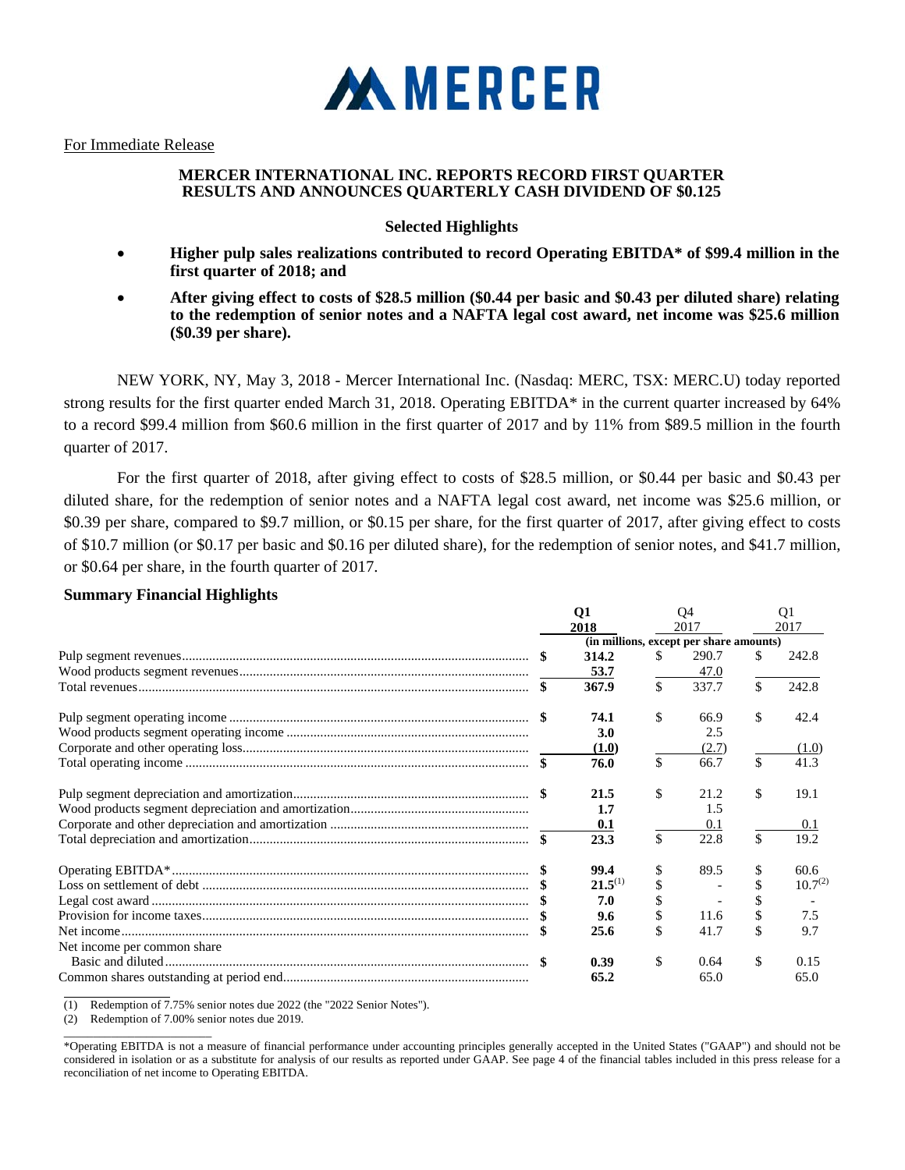

For Immediate Release

# **MERCER INTERNATIONAL INC. REPORTS RECORD FIRST QUARTER RESULTS AND ANNOUNCES QUARTERLY CASH DIVIDEND OF \$0.125**

# **Selected Highlights**

- **Higher pulp sales realizations contributed to record Operating EBITDA\* of \$99.4 million in the first quarter of 2018; and**
- **After giving effect to costs of \$28.5 million (\$0.44 per basic and \$0.43 per diluted share) relating to the redemption of senior notes and a NAFTA legal cost award, net income was \$25.6 million (\$0.39 per share).**

NEW YORK, NY, May 3, 2018 - Mercer International Inc. (Nasdaq: MERC, TSX: MERC.U) today reported strong results for the first quarter ended March 31, 2018. Operating EBITDA\* in the current quarter increased by 64% to a record \$99.4 million from \$60.6 million in the first quarter of 2017 and by 11% from \$89.5 million in the fourth quarter of 2017.

For the first quarter of 2018, after giving effect to costs of \$28.5 million, or \$0.44 per basic and \$0.43 per diluted share, for the redemption of senior notes and a NAFTA legal cost award, net income was \$25.6 million, or \$0.39 per share, compared to \$9.7 million, or \$0.15 per share, for the first quarter of 2017, after giving effect to costs of \$10.7 million (or \$0.17 per basic and \$0.16 per diluted share), for the redemption of senior notes, and \$41.7 million, or \$0.64 per share, in the fourth quarter of 2017.

# **Summary Financial Highlights**

|                             |      | <b>Q1</b><br>2018 |    | Q4<br>2017                              |    | Q <sub>1</sub><br>2017 |
|-----------------------------|------|-------------------|----|-----------------------------------------|----|------------------------|
|                             |      |                   |    | (in millions, except per share amounts) |    |                        |
|                             |      | 314.2             | S. | 290.7                                   | S. | 242.8                  |
|                             |      | 53.7              |    | 47.0                                    |    |                        |
|                             | - \$ | 367.9             | \$ | 337.7                                   | \$ | 242.8                  |
|                             |      | 74.1              | \$ | 66.9                                    | \$ | 42.4                   |
|                             |      | 3.0               |    | 2.5                                     |    |                        |
|                             |      | (1.0)             |    | (2.7)                                   |    | (1.0)                  |
|                             |      | 76.0              | \$ | 66.7                                    | \$ | 41.3                   |
|                             |      | 21.5              | \$ | 21.2                                    | \$ | 19.1                   |
|                             |      | 1.7               |    | 1.5                                     |    |                        |
|                             |      | 0.1               |    | 0.1                                     |    | 0.1                    |
|                             |      | 23.3              | \$ | 22.8                                    | \$ | 19.2                   |
|                             |      | 99.4              |    | 89.5                                    | \$ | 60.6                   |
|                             |      | $21.5^{(1)}$      |    |                                         |    | $10.7^{(2)}$           |
|                             |      | 7.0               |    |                                         |    |                        |
|                             |      | 9.6               |    | 11.6                                    |    | 7.5                    |
|                             |      | 25.6              |    | 41.7                                    | \$ | 9.7                    |
| Net income per common share |      |                   |    |                                         |    |                        |
|                             |      | 0.39              | \$ | 0.64                                    | \$ | 0.15                   |
|                             |      | 65.2              |    | 65.0                                    |    | 65.0                   |

 $\overline{a}$ (1) Redemption of 7.75% senior notes due 2022 (the "2022 Senior Notes").

(2) Redemption of 7.00% senior notes due 2019.

 $\_$ 

<sup>\*</sup>Operating EBITDA is not a measure of financial performance under accounting principles generally accepted in the United States ("GAAP") and should not be considered in isolation or as a substitute for analysis of our results as reported under GAAP. See page 4 of the financial tables included in this press release for a reconciliation of net income to Operating EBITDA.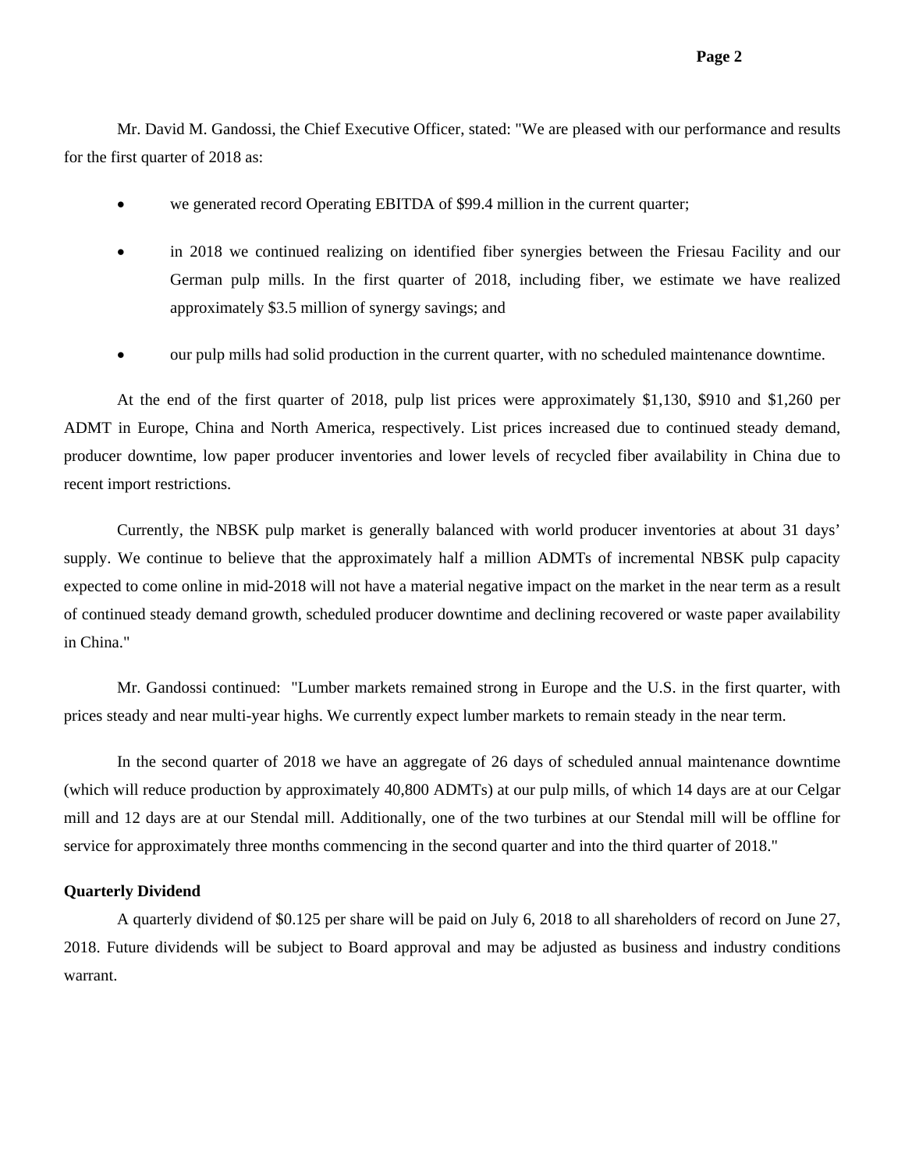Mr. David M. Gandossi, the Chief Executive Officer, stated: "We are pleased with our performance and results for the first quarter of 2018 as:

- we generated record Operating EBITDA of \$99.4 million in the current quarter;
- in 2018 we continued realizing on identified fiber synergies between the Friesau Facility and our German pulp mills. In the first quarter of 2018, including fiber, we estimate we have realized approximately \$3.5 million of synergy savings; and
- our pulp mills had solid production in the current quarter, with no scheduled maintenance downtime.

At the end of the first quarter of 2018, pulp list prices were approximately \$1,130, \$910 and \$1,260 per ADMT in Europe, China and North America, respectively. List prices increased due to continued steady demand, producer downtime, low paper producer inventories and lower levels of recycled fiber availability in China due to recent import restrictions.

Currently, the NBSK pulp market is generally balanced with world producer inventories at about 31 days' supply. We continue to believe that the approximately half a million ADMTs of incremental NBSK pulp capacity expected to come online in mid-2018 will not have a material negative impact on the market in the near term as a result of continued steady demand growth, scheduled producer downtime and declining recovered or waste paper availability in China."

Mr. Gandossi continued: "Lumber markets remained strong in Europe and the U.S. in the first quarter, with prices steady and near multi-year highs. We currently expect lumber markets to remain steady in the near term.

In the second quarter of 2018 we have an aggregate of 26 days of scheduled annual maintenance downtime (which will reduce production by approximately 40,800 ADMTs) at our pulp mills, of which 14 days are at our Celgar mill and 12 days are at our Stendal mill. Additionally, one of the two turbines at our Stendal mill will be offline for service for approximately three months commencing in the second quarter and into the third quarter of 2018."

### **Quarterly Dividend**

A quarterly dividend of \$0.125 per share will be paid on July 6, 2018 to all shareholders of record on June 27, 2018. Future dividends will be subject to Board approval and may be adjusted as business and industry conditions warrant.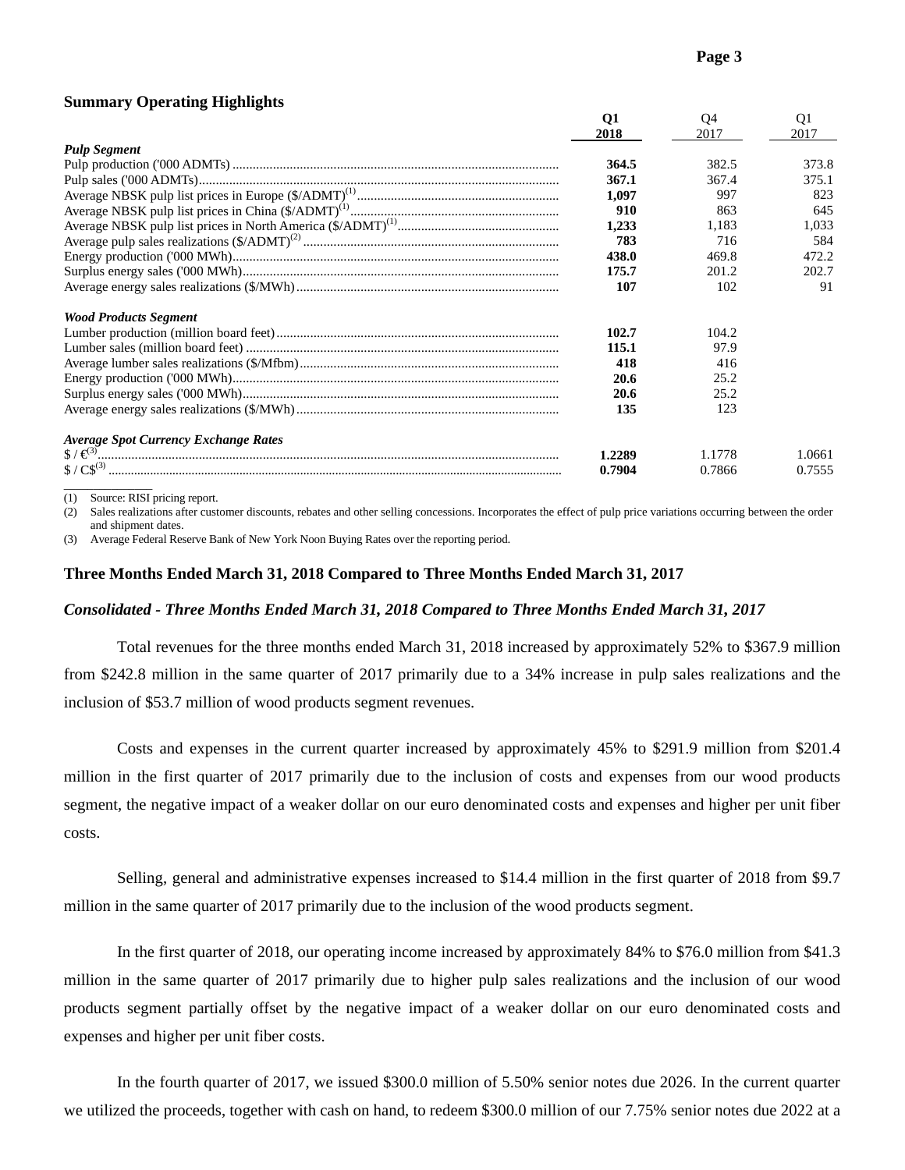# **Summary Operating Highlights**

|                                             | Q1     | Q4     | Q1     |
|---------------------------------------------|--------|--------|--------|
|                                             | 2018   | 2017   | 2017   |
| <b>Pulp Segment</b>                         |        |        |        |
|                                             | 364.5  | 382.5  | 373.8  |
|                                             | 367.1  | 367.4  | 375.1  |
|                                             | 1,097  | 997    | 823    |
|                                             | 910    | 863    | 645    |
|                                             | 1,233  | 1.183  | 1,033  |
|                                             | 783    | 716    | 584    |
|                                             | 438.0  | 469.8  | 472.2  |
|                                             | 175.7  | 201.2  | 202.7  |
|                                             | 107    | 102    | 91     |
| <b>Wood Products Segment</b>                |        |        |        |
|                                             | 102.7  | 104.2  |        |
|                                             | 115.1  | 97.9   |        |
|                                             | 418    | 416    |        |
|                                             | 20.6   | 25.2   |        |
|                                             | 20.6   | 25.2   |        |
|                                             | 135    | 123    |        |
| <b>Average Spot Currency Exchange Rates</b> |        |        |        |
|                                             | 1.2289 | 1.1778 | 1.0661 |
|                                             | 0.7904 | 0.7866 | 0.7555 |
|                                             |        |        |        |

(1) Source: RISI pricing report.

(2) Sales realizations after customer discounts, rebates and other selling concessions. Incorporates the effect of pulp price variations occurring between the order and shipment dates.

(3) Average Federal Reserve Bank of New York Noon Buying Rates over the reporting period.

### **Three Months Ended March 31, 2018 Compared to Three Months Ended March 31, 2017**

## *Consolidated - Three Months Ended March 31, 2018 Compared to Three Months Ended March 31, 2017*

Total revenues for the three months ended March 31, 2018 increased by approximately 52% to \$367.9 million from \$242.8 million in the same quarter of 2017 primarily due to a 34% increase in pulp sales realizations and the inclusion of \$53.7 million of wood products segment revenues.

Costs and expenses in the current quarter increased by approximately 45% to \$291.9 million from \$201.4 million in the first quarter of 2017 primarily due to the inclusion of costs and expenses from our wood products segment, the negative impact of a weaker dollar on our euro denominated costs and expenses and higher per unit fiber costs.

Selling, general and administrative expenses increased to \$14.4 million in the first quarter of 2018 from \$9.7 million in the same quarter of 2017 primarily due to the inclusion of the wood products segment.

In the first quarter of 2018, our operating income increased by approximately 84% to \$76.0 million from \$41.3 million in the same quarter of 2017 primarily due to higher pulp sales realizations and the inclusion of our wood products segment partially offset by the negative impact of a weaker dollar on our euro denominated costs and expenses and higher per unit fiber costs.

In the fourth quarter of 2017, we issued \$300.0 million of 5.50% senior notes due 2026. In the current quarter we utilized the proceeds, together with cash on hand, to redeem \$300.0 million of our 7.75% senior notes due 2022 at a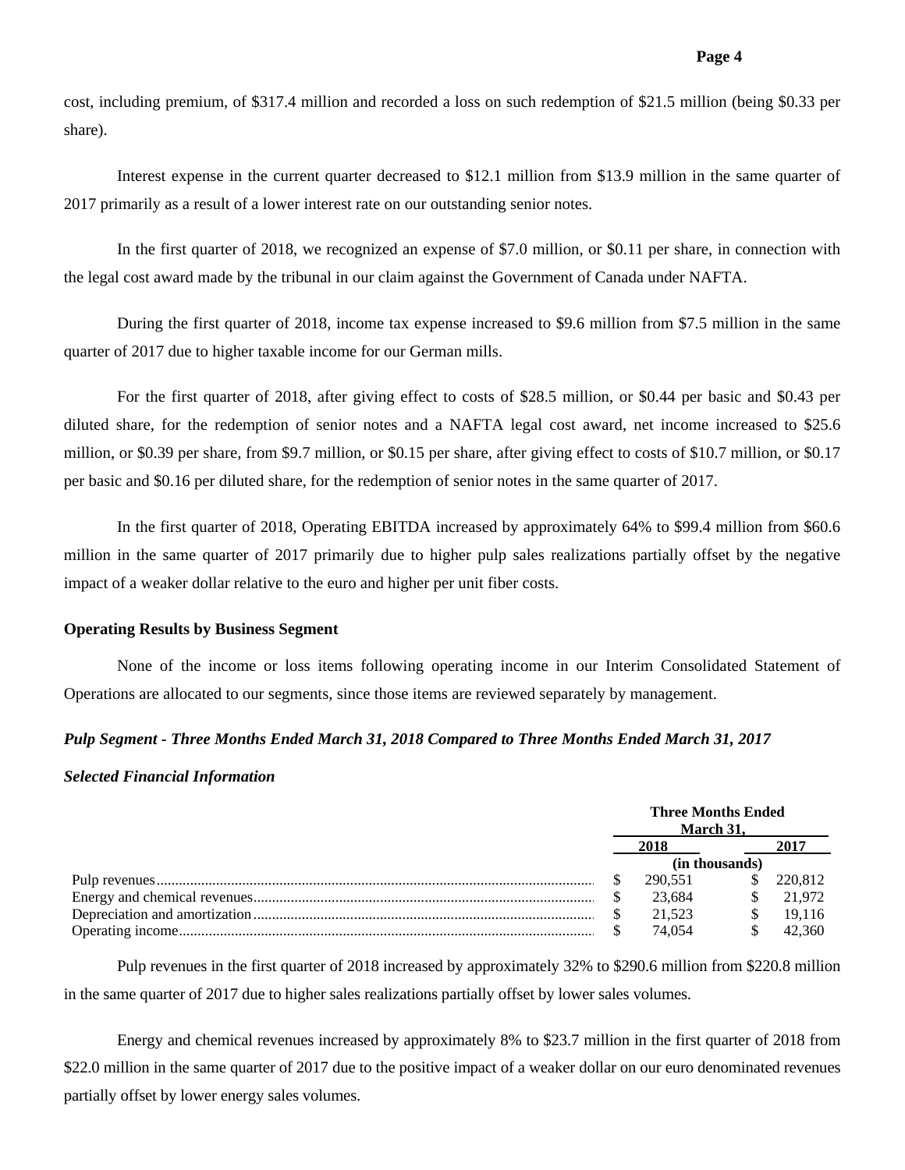cost, including premium, of \$317.4 million and recorded a loss on such redemption of \$21.5 million (being \$0.33 per share).

Interest expense in the current quarter decreased to \$12.1 million from \$13.9 million in the same quarter of 2017 primarily as a result of a lower interest rate on our outstanding senior notes.

In the first quarter of 2018, we recognized an expense of \$7.0 million, or \$0.11 per share, in connection with the legal cost award made by the tribunal in our claim against the Government of Canada under NAFTA.

During the first quarter of 2018, income tax expense increased to \$9.6 million from \$7.5 million in the same quarter of 2017 due to higher taxable income for our German mills.

For the first quarter of 2018, after giving effect to costs of \$28.5 million, or \$0.44 per basic and \$0.43 per diluted share, for the redemption of senior notes and a NAFTA legal cost award, net income increased to \$25.6 million, or \$0.39 per share, from \$9.7 million, or \$0.15 per share, after giving effect to costs of \$10.7 million, or \$0.17 per basic and \$0.16 per diluted share, for the redemption of senior notes in the same quarter of 2017.

In the first quarter of 2018, Operating EBITDA increased by approximately 64% to \$99.4 million from \$60.6 million in the same quarter of 2017 primarily due to higher pulp sales realizations partially offset by the negative impact of a weaker dollar relative to the euro and higher per unit fiber costs.

#### **Operating Results by Business Segment**

None of the income or loss items following operating income in our Interim Consolidated Statement of Operations are allocated to our segments, since those items are reviewed separately by management.

# *Pulp Segment - Three Months Ended March 31, 2018 Compared to Three Months Ended March 31, 2017*

# *Selected Financial Information*

| <b>Three Months Ended</b><br>March 31. |         |  |         |
|----------------------------------------|---------|--|---------|
|                                        | 2018    |  |         |
| (in thousands)                         |         |  |         |
|                                        | 290.551 |  | 220.812 |
|                                        | 23.684  |  | 21.972  |
|                                        | 21.523  |  | 19.116  |
|                                        | 74.054  |  | 42.360  |

Pulp revenues in the first quarter of 2018 increased by approximately 32% to \$290.6 million from \$220.8 million in the same quarter of 2017 due to higher sales realizations partially offset by lower sales volumes.

Energy and chemical revenues increased by approximately 8% to \$23.7 million in the first quarter of 2018 from \$22.0 million in the same quarter of 2017 due to the positive impact of a weaker dollar on our euro denominated revenues partially offset by lower energy sales volumes.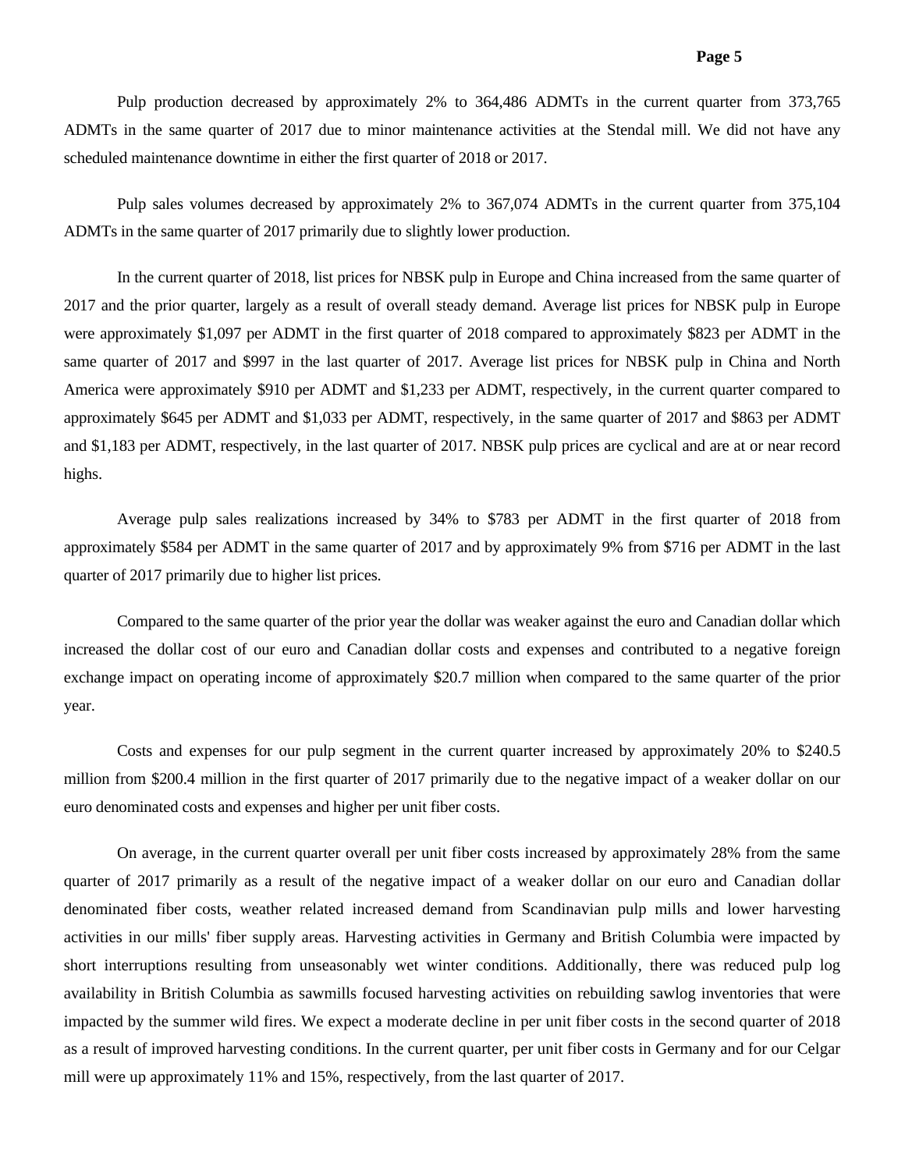Pulp production decreased by approximately 2% to 364,486 ADMTs in the current quarter from 373,765 ADMTs in the same quarter of 2017 due to minor maintenance activities at the Stendal mill. We did not have any scheduled maintenance downtime in either the first quarter of 2018 or 2017.

Pulp sales volumes decreased by approximately 2% to 367,074 ADMTs in the current quarter from 375,104 ADMTs in the same quarter of 2017 primarily due to slightly lower production.

In the current quarter of 2018, list prices for NBSK pulp in Europe and China increased from the same quarter of 2017 and the prior quarter, largely as a result of overall steady demand. Average list prices for NBSK pulp in Europe were approximately \$1,097 per ADMT in the first quarter of 2018 compared to approximately \$823 per ADMT in the same quarter of 2017 and \$997 in the last quarter of 2017. Average list prices for NBSK pulp in China and North America were approximately \$910 per ADMT and \$1,233 per ADMT, respectively, in the current quarter compared to approximately \$645 per ADMT and \$1,033 per ADMT, respectively, in the same quarter of 2017 and \$863 per ADMT and \$1,183 per ADMT, respectively, in the last quarter of 2017. NBSK pulp prices are cyclical and are at or near record highs.

Average pulp sales realizations increased by 34% to \$783 per ADMT in the first quarter of 2018 from approximately \$584 per ADMT in the same quarter of 2017 and by approximately 9% from \$716 per ADMT in the last quarter of 2017 primarily due to higher list prices.

Compared to the same quarter of the prior year the dollar was weaker against the euro and Canadian dollar which increased the dollar cost of our euro and Canadian dollar costs and expenses and contributed to a negative foreign exchange impact on operating income of approximately \$20.7 million when compared to the same quarter of the prior year.

Costs and expenses for our pulp segment in the current quarter increased by approximately 20% to \$240.5 million from \$200.4 million in the first quarter of 2017 primarily due to the negative impact of a weaker dollar on our euro denominated costs and expenses and higher per unit fiber costs.

On average, in the current quarter overall per unit fiber costs increased by approximately 28% from the same quarter of 2017 primarily as a result of the negative impact of a weaker dollar on our euro and Canadian dollar denominated fiber costs, weather related increased demand from Scandinavian pulp mills and lower harvesting activities in our mills' fiber supply areas. Harvesting activities in Germany and British Columbia were impacted by short interruptions resulting from unseasonably wet winter conditions. Additionally, there was reduced pulp log availability in British Columbia as sawmills focused harvesting activities on rebuilding sawlog inventories that were impacted by the summer wild fires. We expect a moderate decline in per unit fiber costs in the second quarter of 2018 as a result of improved harvesting conditions. In the current quarter, per unit fiber costs in Germany and for our Celgar mill were up approximately 11% and 15%, respectively, from the last quarter of 2017.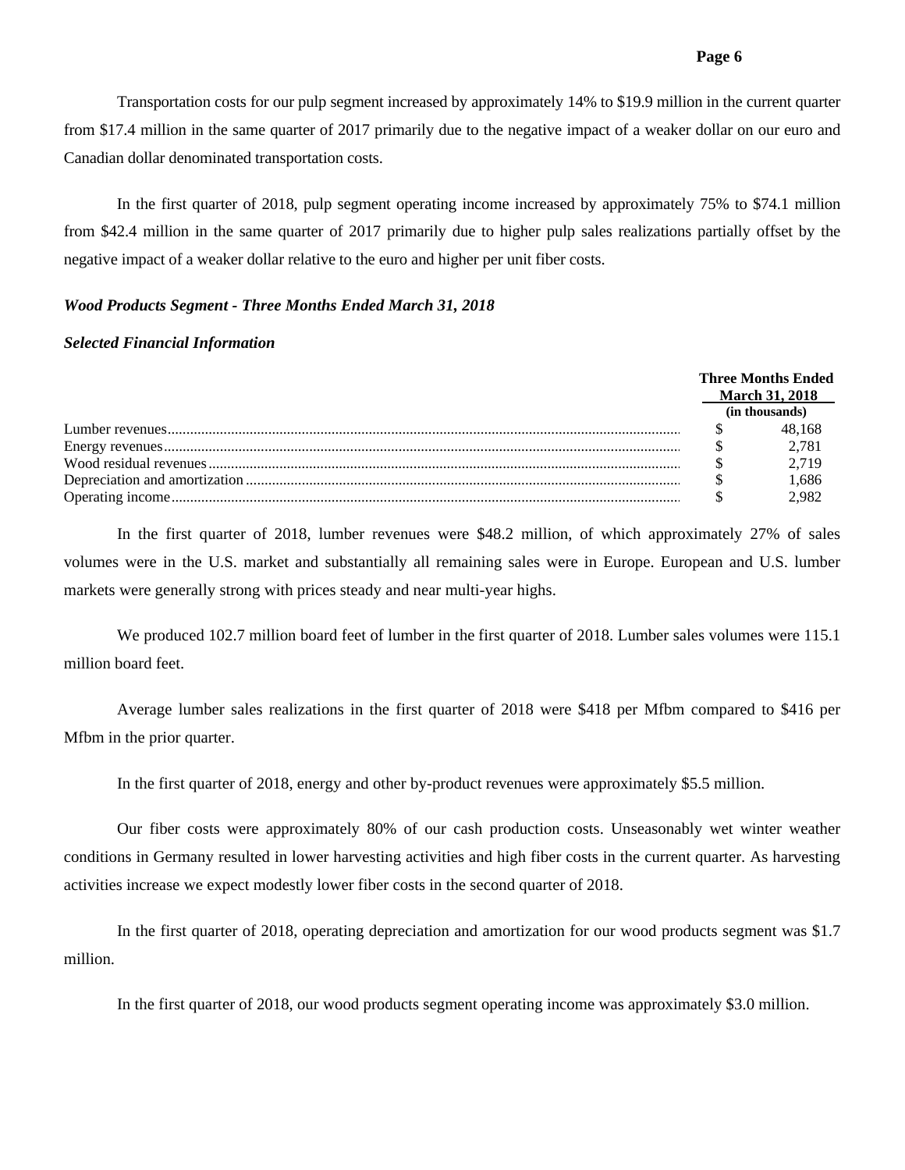Transportation costs for our pulp segment increased by approximately 14% to \$19.9 million in the current quarter from \$17.4 million in the same quarter of 2017 primarily due to the negative impact of a weaker dollar on our euro and Canadian dollar denominated transportation costs.

In the first quarter of 2018, pulp segment operating income increased by approximately 75% to \$74.1 million from \$42.4 million in the same quarter of 2017 primarily due to higher pulp sales realizations partially offset by the negative impact of a weaker dollar relative to the euro and higher per unit fiber costs.

## *Wood Products Segment - Three Months Ended March 31, 2018*

## *Selected Financial Information*

|  |  | <b>Three Months Ended</b><br><b>March 31, 2018</b> |
|--|--|----------------------------------------------------|
|  |  | (in thousands)                                     |
|  |  | 48,168                                             |
|  |  | 2,781                                              |
|  |  | 2.719                                              |
|  |  | 1.686                                              |
|  |  | 2.982                                              |

In the first quarter of 2018, lumber revenues were \$48.2 million, of which approximately 27% of sales volumes were in the U.S. market and substantially all remaining sales were in Europe. European and U.S. lumber markets were generally strong with prices steady and near multi-year highs.

We produced 102.7 million board feet of lumber in the first quarter of 2018. Lumber sales volumes were 115.1 million board feet.

Average lumber sales realizations in the first quarter of 2018 were \$418 per Mfbm compared to \$416 per Mfbm in the prior quarter.

In the first quarter of 2018, energy and other by-product revenues were approximately \$5.5 million.

Our fiber costs were approximately 80% of our cash production costs. Unseasonably wet winter weather conditions in Germany resulted in lower harvesting activities and high fiber costs in the current quarter. As harvesting activities increase we expect modestly lower fiber costs in the second quarter of 2018.

In the first quarter of 2018, operating depreciation and amortization for our wood products segment was \$1.7 million.

In the first quarter of 2018, our wood products segment operating income was approximately \$3.0 million.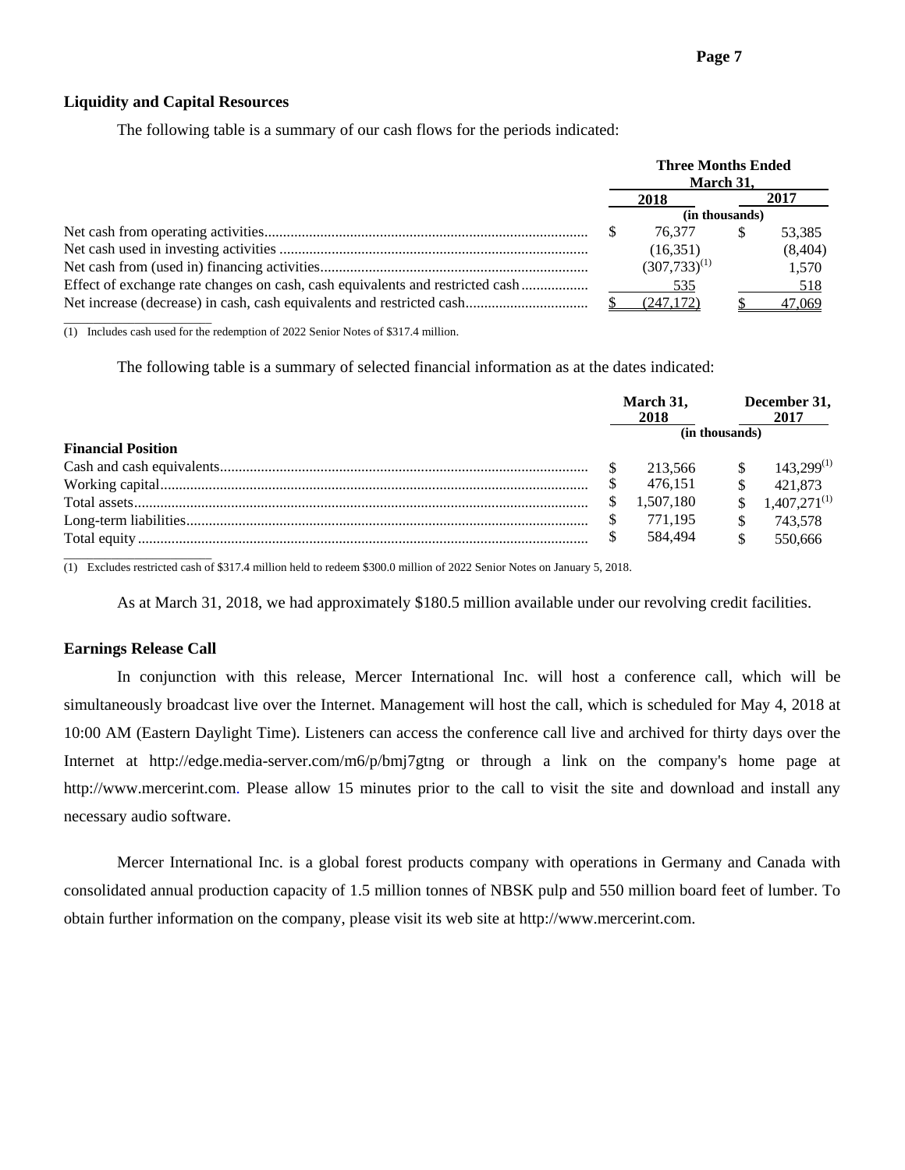# **Liquidity and Capital Resources**

The following table is a summary of our cash flows for the periods indicated:

| <b>Three Months Ended</b><br>March 31, |                   |                |         |
|----------------------------------------|-------------------|----------------|---------|
|                                        | 2018              |                | 2017    |
|                                        |                   | (in thousands) |         |
|                                        | 76.377            | S              | 53,385  |
|                                        | (16,351)          |                | (8,404) |
|                                        | $(307,733)^{(1)}$ |                | 1,570   |
|                                        | 535               |                | 518     |
|                                        | (247.172)         |                | 47,069  |
|                                        |                   |                |         |

(1) Includes cash used for the redemption of 2022 Senior Notes of \$317.4 million.

The following table is a summary of selected financial information as at the dates indicated:

|                           | March 31,<br>2018 |           | December 31,<br>2017 |                   |
|---------------------------|-------------------|-----------|----------------------|-------------------|
|                           |                   |           | (in thousands)       |                   |
| <b>Financial Position</b> |                   |           |                      |                   |
|                           |                   | 213,566   |                      | $143.299^{(1)}$   |
|                           |                   | 476.151   |                      | 421,873           |
|                           |                   | 1.507.180 |                      | $1,407,271^{(1)}$ |
|                           |                   | 771.195   |                      | 743.578           |
|                           |                   | 584.494   | \$                   | 550.666           |

(1) Excludes restricted cash of \$317.4 million held to redeem \$300.0 million of 2022 Senior Notes on January 5, 2018.

As at March 31, 2018, we had approximately \$180.5 million available under our revolving credit facilities.

#### **Earnings Release Call**

 In conjunction with this release, Mercer International Inc. will host a conference call, which will be simultaneously broadcast live over the Internet. Management will host the call, which is scheduled for May 4, 2018 at 10:00 AM (Eastern Daylight Time). Listeners can access the conference call live and archived for thirty days over the Internet at http://edge.media-server.com/m6/p/bmj7gtng or through a link on the company's home page at http://www.mercerint.com. Please allow 15 minutes prior to the call to visit the site and download and install any necessary audio software.

Mercer International Inc. is a global forest products company with operations in Germany and Canada with consolidated annual production capacity of 1.5 million tonnes of NBSK pulp and 550 million board feet of lumber. To obtain further information on the company, please visit its web site at http://www.mercerint.com.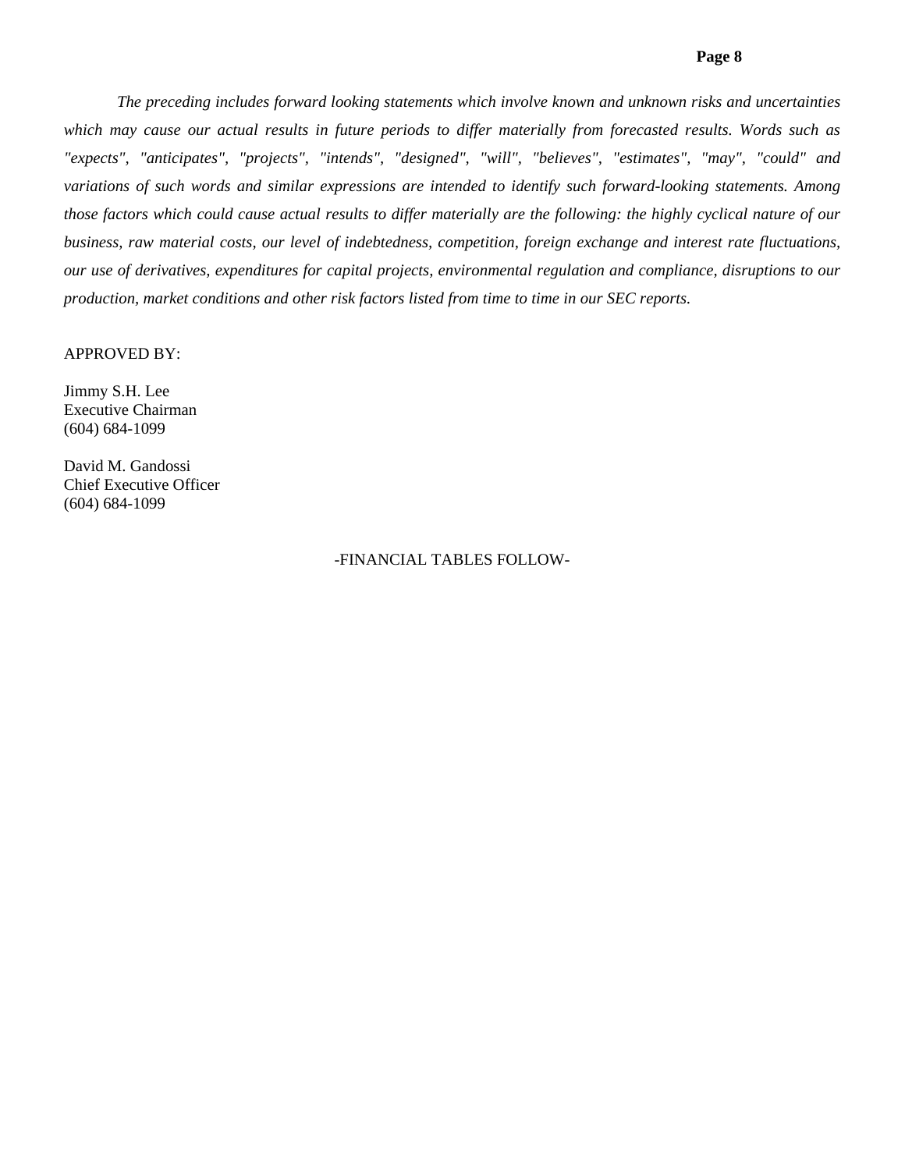*The preceding includes forward looking statements which involve known and unknown risks and uncertainties*  which may cause our actual results in future periods to differ materially from forecasted results. Words such as *"expects", "anticipates", "projects", "intends", "designed", "will", "believes", "estimates", "may", "could" and variations of such words and similar expressions are intended to identify such forward-looking statements. Among those factors which could cause actual results to differ materially are the following: the highly cyclical nature of our business, raw material costs, our level of indebtedness, competition, foreign exchange and interest rate fluctuations, our use of derivatives, expenditures for capital projects, environmental regulation and compliance, disruptions to our production, market conditions and other risk factors listed from time to time in our SEC reports.* 

# APPROVED BY:

Jimmy S.H. Lee Executive Chairman (604) 684-1099

David M. Gandossi Chief Executive Officer (604) 684-1099

# -FINANCIAL TABLES FOLLOW-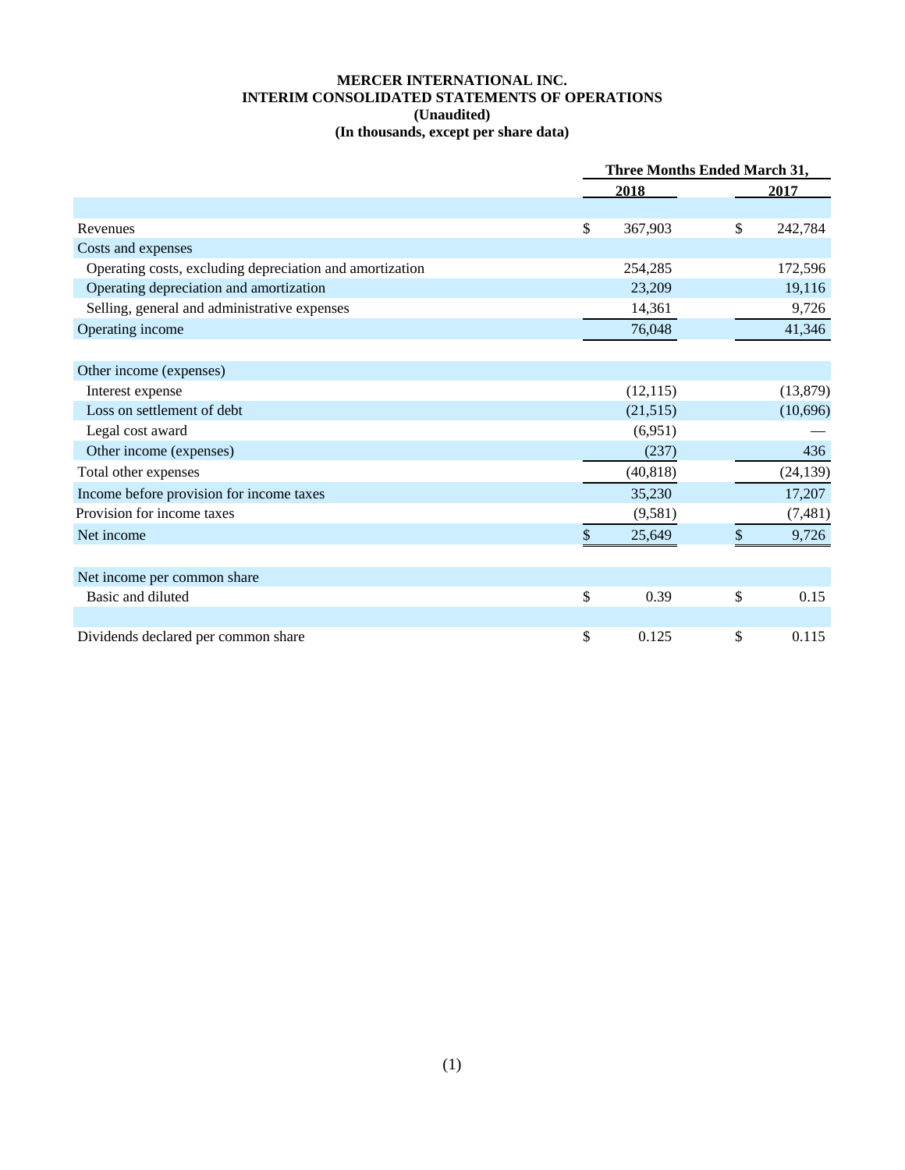# **MERCER INTERNATIONAL INC. INTERIM CONSOLIDATED STATEMENTS OF OPERATIONS (Unaudited) (In thousands, except per share data)**

|                                                          | <b>Three Months Ended March 31,</b> |    |           |  |  |
|----------------------------------------------------------|-------------------------------------|----|-----------|--|--|
|                                                          | 2018                                |    | 2017      |  |  |
|                                                          |                                     |    |           |  |  |
| Revenues                                                 | \$<br>367,903                       | \$ | 242,784   |  |  |
| Costs and expenses                                       |                                     |    |           |  |  |
| Operating costs, excluding depreciation and amortization | 254,285                             |    | 172,596   |  |  |
| Operating depreciation and amortization                  | 23,209                              |    | 19,116    |  |  |
| Selling, general and administrative expenses             | 14,361                              |    | 9,726     |  |  |
| Operating income                                         | 76,048                              |    | 41,346    |  |  |
|                                                          |                                     |    |           |  |  |
| Other income (expenses)                                  |                                     |    |           |  |  |
| Interest expense                                         | (12, 115)                           |    | (13,879)  |  |  |
| Loss on settlement of debt                               | (21,515)                            |    | (10,696)  |  |  |
| Legal cost award                                         | (6,951)                             |    |           |  |  |
| Other income (expenses)                                  | (237)                               |    | 436       |  |  |
| Total other expenses                                     | (40, 818)                           |    | (24, 139) |  |  |
| Income before provision for income taxes                 | 35,230                              |    | 17,207    |  |  |
| Provision for income taxes                               | (9,581)                             |    | (7,481)   |  |  |
| Net income                                               | \$<br>25,649                        | \$ | 9,726     |  |  |
|                                                          |                                     |    |           |  |  |
| Net income per common share                              |                                     |    |           |  |  |
| Basic and diluted                                        | \$<br>0.39                          | \$ | 0.15      |  |  |
|                                                          |                                     |    |           |  |  |
| Dividends declared per common share                      | \$<br>0.125                         | \$ | 0.115     |  |  |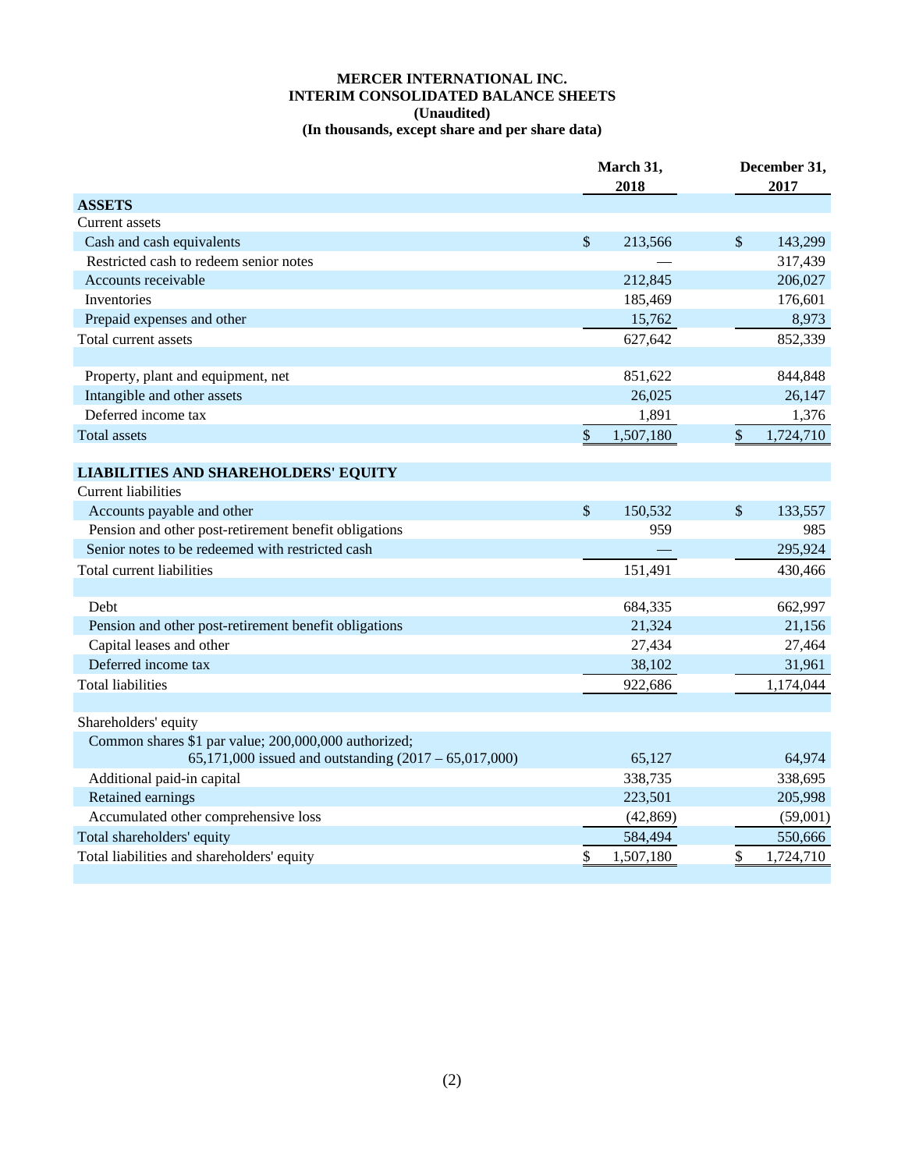# **MERCER INTERNATIONAL INC. INTERIM CONSOLIDATED BALANCE SHEETS (Unaudited) (In thousands, except share and per share data)**

|                                                         |               | March 31,<br>2018 |                           | December 31,<br>2017 |
|---------------------------------------------------------|---------------|-------------------|---------------------------|----------------------|
| <b>ASSETS</b>                                           |               |                   |                           |                      |
| Current assets                                          |               |                   |                           |                      |
| Cash and cash equivalents                               | $\mathcal{S}$ | 213,566           | $\mathcal{S}$             | 143,299              |
| Restricted cash to redeem senior notes                  |               |                   |                           | 317,439              |
| Accounts receivable                                     |               | 212,845           |                           | 206,027              |
| Inventories                                             |               | 185,469           |                           | 176,601              |
| Prepaid expenses and other                              |               | 15,762            |                           | 8,973                |
| Total current assets                                    |               | 627,642           |                           | 852,339              |
| Property, plant and equipment, net                      |               | 851,622           |                           | 844,848              |
| Intangible and other assets                             |               | 26,025            |                           | 26,147               |
| Deferred income tax                                     |               | 1,891             |                           | 1,376                |
| <b>Total assets</b>                                     | $\,$          | 1,507,180         | \$                        | 1,724,710            |
| <b>LIABILITIES AND SHAREHOLDERS' EQUITY</b>             |               |                   |                           |                      |
| <b>Current liabilities</b>                              |               |                   |                           |                      |
| Accounts payable and other                              | $\mathcal{S}$ | 150,532           | $\boldsymbol{\mathsf{S}}$ | 133,557              |
| Pension and other post-retirement benefit obligations   |               | 959               |                           | 985                  |
| Senior notes to be redeemed with restricted cash        |               |                   |                           | 295,924              |
| Total current liabilities                               |               | 151,491           |                           | 430,466              |
|                                                         |               |                   |                           |                      |
| Debt                                                    |               | 684,335           |                           | 662,997              |
| Pension and other post-retirement benefit obligations   |               | 21,324            |                           | 21,156               |
| Capital leases and other                                |               | 27,434            |                           | 27,464               |
| Deferred income tax                                     |               | 38,102            |                           | 31,961               |
| <b>Total liabilities</b>                                |               | 922,686           |                           | 1,174,044            |
|                                                         |               |                   |                           |                      |
| Shareholders' equity                                    |               |                   |                           |                      |
| Common shares \$1 par value; 200,000,000 authorized;    |               |                   |                           |                      |
| 65,171,000 issued and outstanding $(2017 - 65,017,000)$ |               | 65,127            |                           | 64,974               |
| Additional paid-in capital                              |               | 338,735           |                           | 338,695              |
| Retained earnings                                       |               | 223,501           |                           | 205,998              |
| Accumulated other comprehensive loss                    |               | (42, 869)         |                           | (59,001)             |
| Total shareholders' equity                              |               | 584,494           |                           | 550,666              |
| Total liabilities and shareholders' equity              | \$            | 1,507,180         | \$                        | 1,724,710            |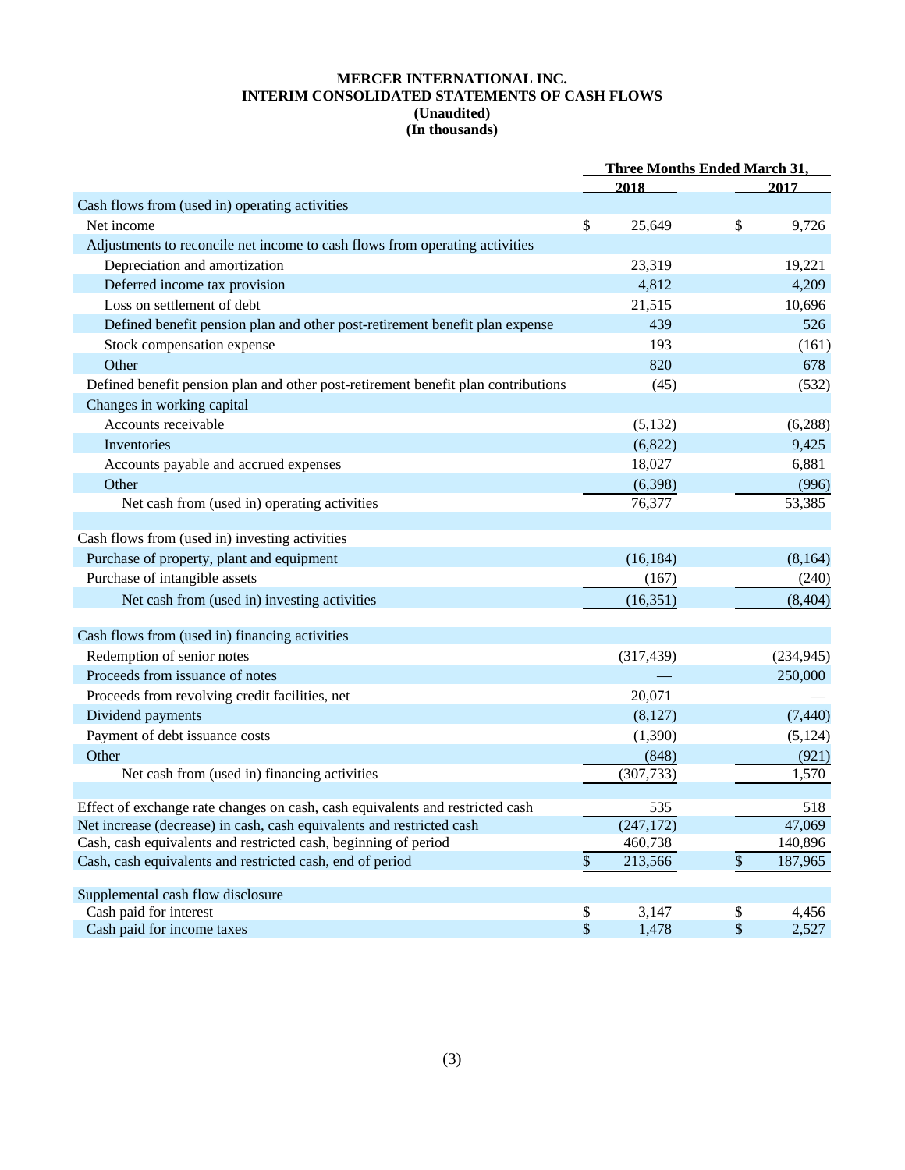## **MERCER INTERNATIONAL INC. INTERIM CONSOLIDATED STATEMENTS OF CASH FLOWS (Unaudited) (In thousands)**

|                                                                                                                                          | <b>Three Months Ended March 31,</b> |                       |        |                   |
|------------------------------------------------------------------------------------------------------------------------------------------|-------------------------------------|-----------------------|--------|-------------------|
|                                                                                                                                          |                                     | 2018                  |        | 2017              |
| Cash flows from (used in) operating activities                                                                                           |                                     |                       |        |                   |
| Net income                                                                                                                               | $\boldsymbol{\mathsf{S}}$           | 25,649                | \$     | 9,726             |
| Adjustments to reconcile net income to cash flows from operating activities                                                              |                                     |                       |        |                   |
| Depreciation and amortization                                                                                                            |                                     | 23,319                |        | 19,221            |
| Deferred income tax provision                                                                                                            |                                     | 4,812                 |        | 4,209             |
| Loss on settlement of debt                                                                                                               |                                     | 21,515                |        | 10,696            |
| Defined benefit pension plan and other post-retirement benefit plan expense                                                              |                                     | 439                   |        | 526               |
| Stock compensation expense                                                                                                               |                                     | 193                   |        | (161)             |
| Other                                                                                                                                    |                                     | 820                   |        | 678               |
| Defined benefit pension plan and other post-retirement benefit plan contributions                                                        |                                     | (45)                  |        | (532)             |
| Changes in working capital                                                                                                               |                                     |                       |        |                   |
| Accounts receivable                                                                                                                      |                                     | (5,132)               |        | (6, 288)          |
| <b>Inventories</b>                                                                                                                       |                                     | (6,822)               |        | 9,425             |
| Accounts payable and accrued expenses                                                                                                    |                                     | 18,027                |        | 6,881             |
| Other                                                                                                                                    |                                     | (6,398)               |        | (996)             |
| Net cash from (used in) operating activities                                                                                             |                                     | 76,377                |        | 53,385            |
|                                                                                                                                          |                                     |                       |        |                   |
| Cash flows from (used in) investing activities                                                                                           |                                     |                       |        |                   |
| Purchase of property, plant and equipment                                                                                                |                                     | (16, 184)             |        | (8,164)           |
| Purchase of intangible assets                                                                                                            |                                     | (167)                 |        | (240)             |
| Net cash from (used in) investing activities                                                                                             |                                     | (16, 351)             |        | (8, 404)          |
| Cash flows from (used in) financing activities                                                                                           |                                     |                       |        |                   |
| Redemption of senior notes                                                                                                               |                                     | (317, 439)            |        | (234, 945)        |
| Proceeds from issuance of notes                                                                                                          |                                     |                       |        | 250,000           |
| Proceeds from revolving credit facilities, net                                                                                           |                                     | 20,071                |        |                   |
| Dividend payments                                                                                                                        |                                     | (8,127)               |        | (7, 440)          |
| Payment of debt issuance costs                                                                                                           |                                     | (1, 390)              |        | (5, 124)          |
| Other                                                                                                                                    |                                     | (848)                 |        | (921)             |
| Net cash from (used in) financing activities                                                                                             |                                     | (307, 733)            |        | 1,570             |
|                                                                                                                                          |                                     |                       |        |                   |
| Effect of exchange rate changes on cash, cash equivalents and restricted cash                                                            |                                     | 535                   |        | 518               |
| Net increase (decrease) in cash, cash equivalents and restricted cash<br>Cash, cash equivalents and restricted cash, beginning of period |                                     | (247, 172)<br>460,738 |        | 47,069<br>140,896 |
| Cash, cash equivalents and restricted cash, end of period                                                                                | $\boldsymbol{\mathsf{S}}$           | 213,566               | $\$\,$ | 187,965           |
|                                                                                                                                          |                                     |                       |        |                   |
| Supplemental cash flow disclosure                                                                                                        |                                     |                       |        |                   |
| Cash paid for interest                                                                                                                   | \$                                  | 3,147                 | \$     | 4,456             |
| Cash paid for income taxes                                                                                                               | \$                                  | 1,478                 | \$     | 2,527             |